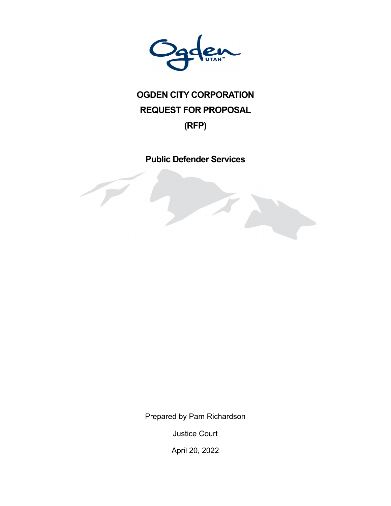

# **OGDEN CITY CORPORATION REQUEST FOR PROPOSAL**

# **(RFP)**

**Public Defender Services** 

Prepared by Pam Richardson

Justice Court

April 20, 2022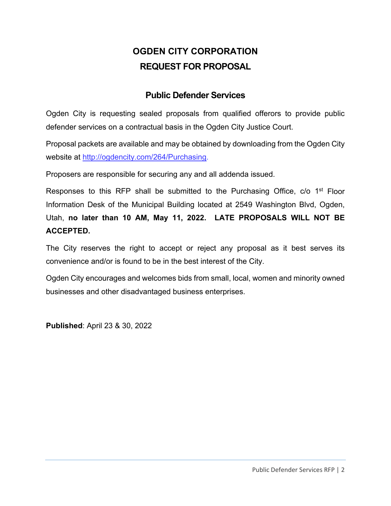# **OGDEN CITY CORPORATION REQUEST FOR PROPOSAL**

### **Public Defender Services**

Ogden City is requesting sealed proposals from qualified offerors to provide public defender services on a contractual basis in the Ogden City Justice Court.

Proposal packets are available and may be obtained by downloading from the Ogden City website at http://ogdencity.com/264/Purchasing.

Proposers are responsible for securing any and all addenda issued.

Responses to this RFP shall be submitted to the Purchasing Office, c/o 1<sup>st</sup> Floor Information Desk of the Municipal Building located at 2549 Washington Blvd, Ogden, Utah, **no later than 10 AM, May 11, 2022. LATE PROPOSALS WILL NOT BE ACCEPTED.** 

The City reserves the right to accept or reject any proposal as it best serves its convenience and/or is found to be in the best interest of the City.

Ogden City encourages and welcomes bids from small, local, women and minority owned businesses and other disadvantaged business enterprises.

**Published**: April 23 & 30, 2022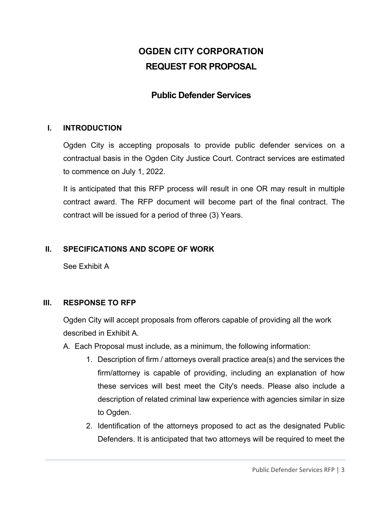# **OGDEN CITY CORPORATION REQUEST FOR PROPOSAL**

### **Public Defender Services**

#### **I. INTRODUCTION**

Ogden City is accepting proposals to provide public defender services on a contractual basis in the Ogden City Justice Court. Contract services are estimated to commence on July 1, 2022.

It is anticipated that this RFP process will result in one OR may result in multiple contract award. The RFP document will become part of the final contract. The contract will be issued for a period of three (3) Years.

#### **II. SPECIFICATIONS AND SCOPE OF WORK**

See Exhibit A

#### **III. RESPONSE TO RFP**

Ogden City will accept proposals from offerors capable of providing all the work described in Exhibit A.

- A. Each Proposal must include, as a minimum, the following information:
	- 1. Description of firm / attorneys overall practice area(s) and the services the firm/attorney is capable of providing, including an explanation of how these services will best meet the City's needs. Please also include a description of related criminal law experience with agencies similar in size to Ogden.
	- 2. Identification of the attorneys proposed to act as the designated Public Defenders. It is anticipated that two attorneys will be required to meet the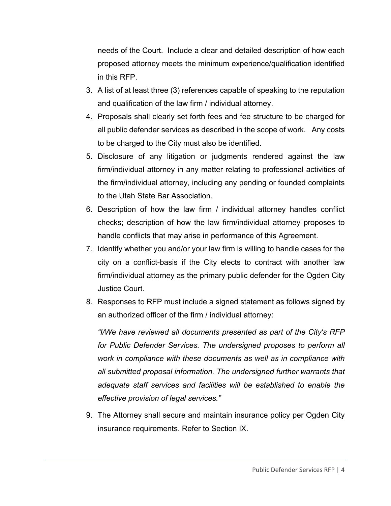needs of the Court. Include a clear and detailed description of how each proposed attorney meets the minimum experience/qualification identified in this RFP.

- 3. A list of at least three (3) references capable of speaking to the reputation and qualification of the law firm / individual attorney.
- 4. Proposals shall clearly set forth fees and fee structure to be charged for all public defender services as described in the scope of work. Any costs to be charged to the City must also be identified.
- 5. Disclosure of any litigation or judgments rendered against the law firm/individual attorney in any matter relating to professional activities of the firm/individual attorney, including any pending or founded complaints to the Utah State Bar Association.
- 6. Description of how the law firm / individual attorney handles conflict checks; description of how the law firm/individual attorney proposes to handle conflicts that may arise in performance of this Agreement.
- 7. Identify whether you and/or your law firm is willing to handle cases for the city on a conflict-basis if the City elects to contract with another law firm/individual attorney as the primary public defender for the Ogden City Justice Court.
- 8. Responses to RFP must include a signed statement as follows signed by an authorized officer of the firm / individual attorney:

*"I/We have reviewed all documents presented as part of the City's RFP for Public Defender Services. The undersigned proposes to perform all work in compliance with these documents as well as in compliance with all submitted proposal information. The undersigned further warrants that adequate staff services and facilities will be established to enable the effective provision of legal services."* 

9. The Attorney shall secure and maintain insurance policy per Ogden City insurance requirements. Refer to Section IX.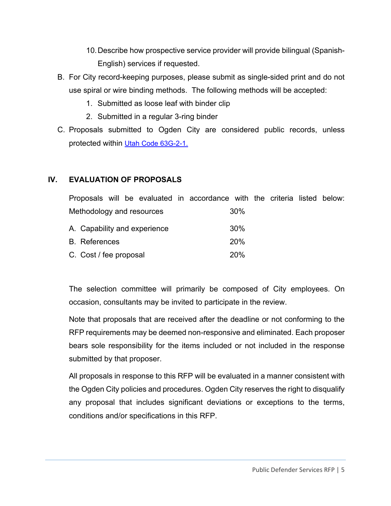- 10. Describe how prospective service provider will provide bilingual (Spanish-English) services if requested.
- B. For City record-keeping purposes, please submit as single-sided print and do not use spiral or wire binding methods. The following methods will be accepted:
	- 1. Submitted as loose leaf with binder clip
	- 2. Submitted in a regular 3-ring binder
- C. Proposals submitted to Ogden City are considered public records, unless protected within Utah Code 63G-2-1.

#### **IV. EVALUATION OF PROPOSALS**

|                              |  |  |            | Proposals will be evaluated in accordance with the criteria listed below: |     |  |  |  |
|------------------------------|--|--|------------|---------------------------------------------------------------------------|-----|--|--|--|
| Methodology and resources    |  |  |            | 30%                                                                       |     |  |  |  |
| A. Capability and experience |  |  | 30%        |                                                                           |     |  |  |  |
| <b>B.</b> References         |  |  | <b>20%</b> |                                                                           |     |  |  |  |
| C. Cost / fee proposal       |  |  |            |                                                                           | 20% |  |  |  |

The selection committee will primarily be composed of City employees. On occasion, consultants may be invited to participate in the review.

Note that proposals that are received after the deadline or not conforming to the RFP requirements may be deemed non-responsive and eliminated. Each proposer bears sole responsibility for the items included or not included in the response submitted by that proposer.

All proposals in response to this RFP will be evaluated in a manner consistent with the Ogden City policies and procedures. Ogden City reserves the right to disqualify any proposal that includes significant deviations or exceptions to the terms, conditions and/or specifications in this RFP.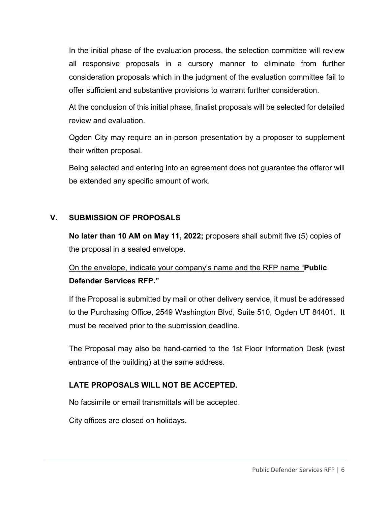In the initial phase of the evaluation process, the selection committee will review all responsive proposals in a cursory manner to eliminate from further consideration proposals which in the judgment of the evaluation committee fail to offer sufficient and substantive provisions to warrant further consideration.

At the conclusion of this initial phase, finalist proposals will be selected for detailed review and evaluation.

Ogden City may require an in-person presentation by a proposer to supplement their written proposal.

Being selected and entering into an agreement does not guarantee the offeror will be extended any specific amount of work.

#### **V. SUBMISSION OF PROPOSALS**

**No later than 10 AM on May 11, 2022;** proposers shall submit five (5) copies of the proposal in a sealed envelope.

### On the envelope, indicate your company's name and the RFP name "**Public Defender Services RFP."**

If the Proposal is submitted by mail or other delivery service, it must be addressed to the Purchasing Office, 2549 Washington Blvd, Suite 510, Ogden UT 84401. It must be received prior to the submission deadline.

The Proposal may also be hand-carried to the 1st Floor Information Desk (west entrance of the building) at the same address.

#### **LATE PROPOSALS WILL NOT BE ACCEPTED.**

No facsimile or email transmittals will be accepted.

City offices are closed on holidays.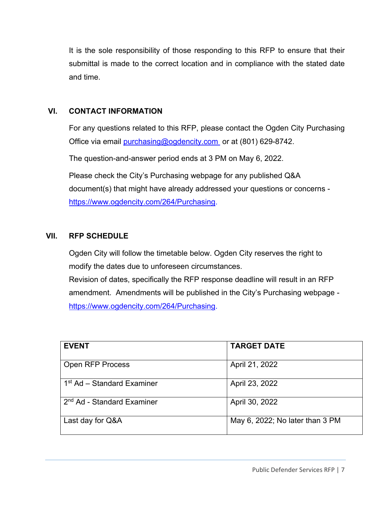It is the sole responsibility of those responding to this RFP to ensure that their submittal is made to the correct location and in compliance with the stated date and time.

#### **VI. CONTACT INFORMATION**

For any questions related to this RFP, please contact the Ogden City Purchasing Office via email purchasing@ogdencity.com or at (801) 629-8742.

The question-and-answer period ends at 3 PM on May 6, 2022.

Please check the City's Purchasing webpage for any published Q&A document(s) that might have already addressed your questions or concerns https://www.ogdencity.com/264/Purchasing.

#### **VII. RFP SCHEDULE**

Ogden City will follow the timetable below. Ogden City reserves the right to modify the dates due to unforeseen circumstances. Revision of dates, specifically the RFP response deadline will result in an RFP amendment. Amendments will be published in the City's Purchasing webpage https://www.ogdencity.com/264/Purchasing.

| <b>EVENT</b>                           | <b>TARGET DATE</b>              |
|----------------------------------------|---------------------------------|
| <b>Open RFP Process</b>                | April 21, 2022                  |
| 1 <sup>st</sup> Ad – Standard Examiner | April 23, 2022                  |
| 2 <sup>nd</sup> Ad - Standard Examiner | April 30, 2022                  |
| Last day for Q&A                       | May 6, 2022; No later than 3 PM |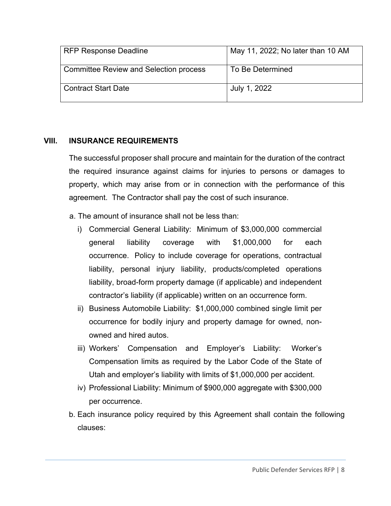| <b>RFP Response Deadline</b>                  | May 11, 2022; No later than 10 AM |
|-----------------------------------------------|-----------------------------------|
| <b>Committee Review and Selection process</b> | To Be Determined                  |
| <b>Contract Start Date</b>                    | July 1, 2022                      |

#### **VIII. INSURANCE REQUIREMENTS**

The successful proposer shall procure and maintain for the duration of the contract the required insurance against claims for injuries to persons or damages to property, which may arise from or in connection with the performance of this agreement. The Contractor shall pay the cost of such insurance.

- a. The amount of insurance shall not be less than:
	- i) Commercial General Liability: Minimum of \$3,000,000 commercial general liability coverage with \$1,000,000 for each occurrence. Policy to include coverage for operations, contractual liability, personal injury liability, products/completed operations liability, broad-form property damage (if applicable) and independent contractor's liability (if applicable) written on an occurrence form.
	- ii) Business Automobile Liability: \$1,000,000 combined single limit per occurrence for bodily injury and property damage for owned, nonowned and hired autos.
	- iii) Workers' Compensation and Employer's Liability: Worker's Compensation limits as required by the Labor Code of the State of Utah and employer's liability with limits of \$1,000,000 per accident.
	- iv) Professional Liability: Minimum of \$900,000 aggregate with \$300,000 per occurrence.
- b. Each insurance policy required by this Agreement shall contain the following clauses: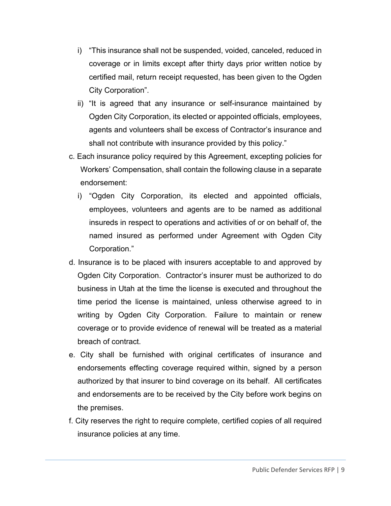- i) "This insurance shall not be suspended, voided, canceled, reduced in coverage or in limits except after thirty days prior written notice by certified mail, return receipt requested, has been given to the Ogden City Corporation".
- ii) "It is agreed that any insurance or self-insurance maintained by Ogden City Corporation, its elected or appointed officials, employees, agents and volunteers shall be excess of Contractor's insurance and shall not contribute with insurance provided by this policy."
- c. Each insurance policy required by this Agreement, excepting policies for Workers' Compensation, shall contain the following clause in a separate endorsement:
	- i) "Ogden City Corporation, its elected and appointed officials, employees, volunteers and agents are to be named as additional insureds in respect to operations and activities of or on behalf of, the named insured as performed under Agreement with Ogden City Corporation."
- d. Insurance is to be placed with insurers acceptable to and approved by Ogden City Corporation. Contractor's insurer must be authorized to do business in Utah at the time the license is executed and throughout the time period the license is maintained, unless otherwise agreed to in writing by Ogden City Corporation. Failure to maintain or renew coverage or to provide evidence of renewal will be treated as a material breach of contract.
- e. City shall be furnished with original certificates of insurance and endorsements effecting coverage required within, signed by a person authorized by that insurer to bind coverage on its behalf. All certificates and endorsements are to be received by the City before work begins on the premises.
- f. City reserves the right to require complete, certified copies of all required insurance policies at any time.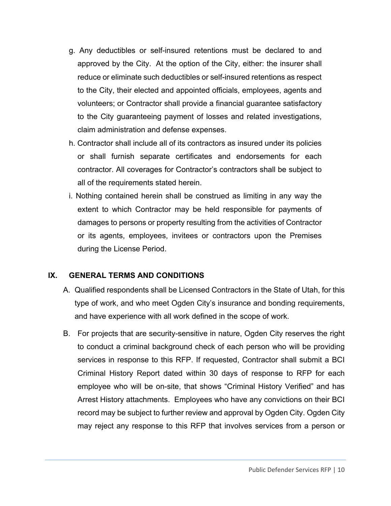- g. Any deductibles or self-insured retentions must be declared to and approved by the City. At the option of the City, either: the insurer shall reduce or eliminate such deductibles or self-insured retentions as respect to the City, their elected and appointed officials, employees, agents and volunteers; or Contractor shall provide a financial guarantee satisfactory to the City guaranteeing payment of losses and related investigations, claim administration and defense expenses.
- h. Contractor shall include all of its contractors as insured under its policies or shall furnish separate certificates and endorsements for each contractor. All coverages for Contractor's contractors shall be subject to all of the requirements stated herein.
- i. Nothing contained herein shall be construed as limiting in any way the extent to which Contractor may be held responsible for payments of damages to persons or property resulting from the activities of Contractor or its agents, employees, invitees or contractors upon the Premises during the License Period.

#### **IX. GENERAL TERMS AND CONDITIONS**

- A. Qualified respondents shall be Licensed Contractors in the State of Utah, for this type of work, and who meet Ogden City's insurance and bonding requirements, and have experience with all work defined in the scope of work.
- B. For projects that are security-sensitive in nature, Ogden City reserves the right to conduct a criminal background check of each person who will be providing services in response to this RFP. If requested, Contractor shall submit a BCI Criminal History Report dated within 30 days of response to RFP for each employee who will be on-site, that shows "Criminal History Verified" and has Arrest History attachments. Employees who have any convictions on their BCI record may be subject to further review and approval by Ogden City. Ogden City may reject any response to this RFP that involves services from a person or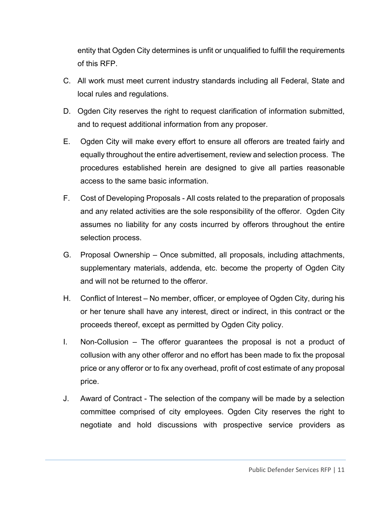entity that Ogden City determines is unfit or unqualified to fulfill the requirements of this RFP.

- C. All work must meet current industry standards including all Federal, State and local rules and regulations.
- D. Ogden City reserves the right to request clarification of information submitted, and to request additional information from any proposer.
- E. Ogden City will make every effort to ensure all offerors are treated fairly and equally throughout the entire advertisement, review and selection process. The procedures established herein are designed to give all parties reasonable access to the same basic information.
- F. Cost of Developing Proposals All costs related to the preparation of proposals and any related activities are the sole responsibility of the offeror. Ogden City assumes no liability for any costs incurred by offerors throughout the entire selection process.
- G. Proposal Ownership Once submitted, all proposals, including attachments, supplementary materials, addenda, etc. become the property of Ogden City and will not be returned to the offeror.
- H. Conflict of Interest No member, officer, or employee of Ogden City, during his or her tenure shall have any interest, direct or indirect, in this contract or the proceeds thereof, except as permitted by Ogden City policy.
- I. Non-Collusion The offeror guarantees the proposal is not a product of collusion with any other offeror and no effort has been made to fix the proposal price or any offeror or to fix any overhead, profit of cost estimate of any proposal price.
- J. Award of Contract The selection of the company will be made by a selection committee comprised of city employees. Ogden City reserves the right to negotiate and hold discussions with prospective service providers as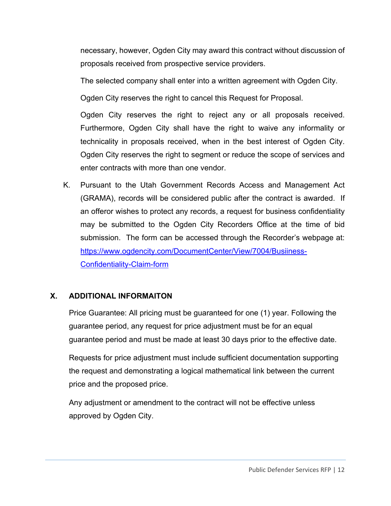necessary, however, Ogden City may award this contract without discussion of proposals received from prospective service providers.

The selected company shall enter into a written agreement with Ogden City.

Ogden City reserves the right to cancel this Request for Proposal.

Ogden City reserves the right to reject any or all proposals received. Furthermore, Ogden City shall have the right to waive any informality or technicality in proposals received, when in the best interest of Ogden City. Ogden City reserves the right to segment or reduce the scope of services and enter contracts with more than one vendor.

K. Pursuant to the Utah Government Records Access and Management Act (GRAMA), records will be considered public after the contract is awarded. If an offeror wishes to protect any records, a request for business confidentiality may be submitted to the Ogden City Recorders Office at the time of bid submission. The form can be accessed through the Recorder's webpage at: https://www.ogdencity.com/DocumentCenter/View/7004/Busiiness-Confidentiality-Claim-form

#### **X. ADDITIONAL INFORMAITON**

Price Guarantee: All pricing must be guaranteed for one (1) year. Following the guarantee period, any request for price adjustment must be for an equal guarantee period and must be made at least 30 days prior to the effective date.

Requests for price adjustment must include sufficient documentation supporting the request and demonstrating a logical mathematical link between the current price and the proposed price.

Any adjustment or amendment to the contract will not be effective unless approved by Ogden City.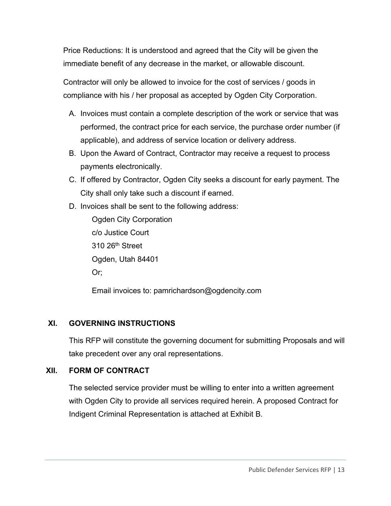Price Reductions: It is understood and agreed that the City will be given the immediate benefit of any decrease in the market, or allowable discount.

Contractor will only be allowed to invoice for the cost of services / goods in compliance with his / her proposal as accepted by Ogden City Corporation.

- A. Invoices must contain a complete description of the work or service that was performed, the contract price for each service, the purchase order number (if applicable), and address of service location or delivery address.
- B. Upon the Award of Contract, Contractor may receive a request to process payments electronically.
- C. If offered by Contractor, Ogden City seeks a discount for early payment. The City shall only take such a discount if earned.
- D. Invoices shall be sent to the following address:

 Ogden City Corporation c/o Justice Court 310 26<sup>th</sup> Street Ogden, Utah 84401 Or;

Email invoices to: pamrichardson@ogdencity.com

#### **XI. GOVERNING INSTRUCTIONS**

This RFP will constitute the governing document for submitting Proposals and will take precedent over any oral representations.

#### **XII. FORM OF CONTRACT**

The selected service provider must be willing to enter into a written agreement with Ogden City to provide all services required herein. A proposed Contract for Indigent Criminal Representation is attached at Exhibit B.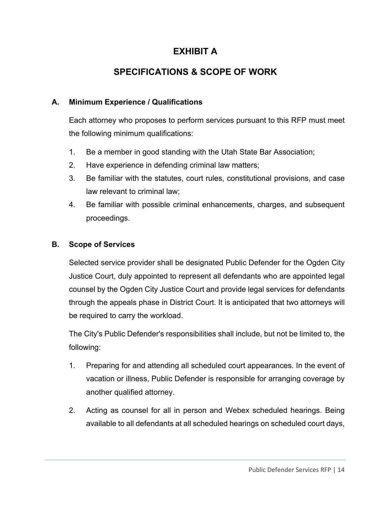## **EXHIBIT A**

# **SPECIFICATIONS & SCOPE OF WORK**

#### **A. Minimum Experience / Qualifications**

Each attorney who proposes to perform services pursuant to this RFP must meet the following minimum qualifications:

- 1. Be a member in good standing with the Utah State Bar Association;
- 2. Have experience in defending criminal law matters;
- 3. Be familiar with the statutes, court rules, constitutional provisions, and case law relevant to criminal law;
- 4. Be familiar with possible criminal enhancements, charges, and subsequent proceedings.

#### **B. Scope of Services**

Selected service provider shall be designated Public Defender for the Ogden City Justice Court, duly appointed to represent all defendants who are appointed legal counsel by the Ogden City Justice Court and provide legal services for defendants through the appeals phase in District Court. It is anticipated that two attorneys will be required to carry the workload.

The City's Public Defender's responsibilities shall include, but not be limited to, the following:

- 1. Preparing for and attending all scheduled court appearances. In the event of vacation or illness, Public Defender is responsible for arranging coverage by another qualified attorney.
- 2. Acting as counsel for all in person and Webex scheduled hearings. Being available to all defendants at all scheduled hearings on scheduled court days,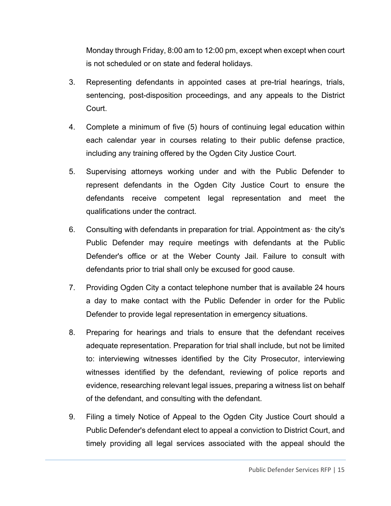Monday through Friday, 8:00 am to 12:00 pm, except when except when court is not scheduled or on state and federal holidays.

- 3. Representing defendants in appointed cases at pre-trial hearings, trials, sentencing, post-disposition proceedings, and any appeals to the District Court.
- 4. Complete a minimum of five (5) hours of continuing legal education within each calendar year in courses relating to their public defense practice, including any training offered by the Ogden City Justice Court.
- 5. Supervising attorneys working under and with the Public Defender to represent defendants in the Ogden City Justice Court to ensure the defendants receive competent legal representation and meet the qualifications under the contract.
- 6. Consulting with defendants in preparation for trial. Appointment asꞏ the city's Public Defender may require meetings with defendants at the Public Defender's office or at the Weber County Jail. Failure to consult with defendants prior to trial shall only be excused for good cause.
- 7. Providing Ogden City a contact telephone number that is available 24 hours a day to make contact with the Public Defender in order for the Public Defender to provide legal representation in emergency situations.
- 8. Preparing for hearings and trials to ensure that the defendant receives adequate representation. Preparation for trial shall include, but not be limited to: interviewing witnesses identified by the City Prosecutor, interviewing witnesses identified by the defendant, reviewing of police reports and evidence, researching relevant legal issues, preparing a witness list on behalf of the defendant, and consulting with the defendant.
- 9. Filing a timely Notice of Appeal to the Ogden City Justice Court should a Public Defender's defendant elect to appeal a conviction to District Court, and timely providing all legal services associated with the appeal should the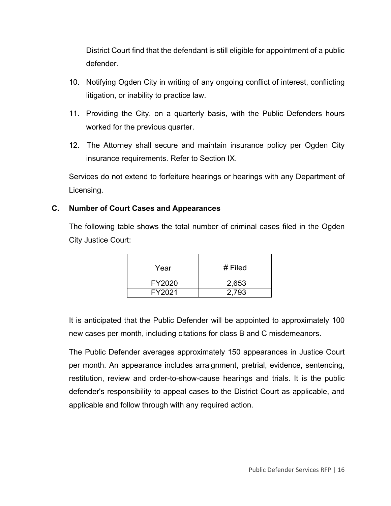District Court find that the defendant is still eligible for appointment of a public defender.

- 10. Notifying Ogden City in writing of any ongoing conflict of interest, conflicting litigation, or inability to practice law.
- 11. Providing the City, on a quarterly basis, with the Public Defenders hours worked for the previous quarter.
- 12. The Attorney shall secure and maintain insurance policy per Ogden City insurance requirements. Refer to Section IX.

Services do not extend to forfeiture hearings or hearings with any Department of Licensing.

#### **C. Number of Court Cases and Appearances**

The following table shows the total number of criminal cases filed in the Ogden City Justice Court:

| Year   | $#$ Filed |
|--------|-----------|
| FY2020 | 2,653     |
| FY2021 | 2.793     |

It is anticipated that the Public Defender will be appointed to approximately 100 new cases per month, including citations for class B and C misdemeanors.

The Public Defender averages approximately 150 appearances in Justice Court per month. An appearance includes arraignment, pretrial, evidence, sentencing, restitution, review and order-to-show-cause hearings and trials. It is the public defender's responsibility to appeal cases to the District Court as applicable, and applicable and follow through with any required action.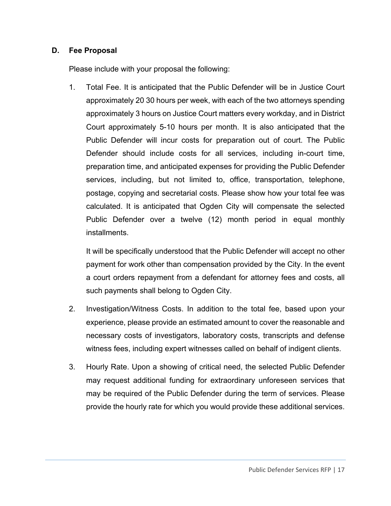#### **D. Fee Proposal**

Please include with your proposal the following:

1. Total Fee. It is anticipated that the Public Defender will be in Justice Court approximately 20 30 hours per week, with each of the two attorneys spending approximately 3 hours on Justice Court matters every workday, and in District Court approximately 5-10 hours per month. It is also anticipated that the Public Defender will incur costs for preparation out of court. The Public Defender should include costs for all services, including in-court time, preparation time, and anticipated expenses for providing the Public Defender services, including, but not limited to, office, transportation, telephone, postage, copying and secretarial costs. Please show how your total fee was calculated. It is anticipated that Ogden City will compensate the selected Public Defender over a twelve (12) month period in equal monthly installments.

It will be specifically understood that the Public Defender will accept no other payment for work other than compensation provided by the City. In the event a court orders repayment from a defendant for attorney fees and costs, all such payments shall belong to Ogden City.

- 2. Investigation/Witness Costs. In addition to the total fee, based upon your experience, please provide an estimated amount to cover the reasonable and necessary costs of investigators, laboratory costs, transcripts and defense witness fees, including expert witnesses called on behalf of indigent clients.
- 3. Hourly Rate. Upon a showing of critical need, the selected Public Defender may request additional funding for extraordinary unforeseen services that may be required of the Public Defender during the term of services. Please provide the hourly rate for which you would provide these additional services.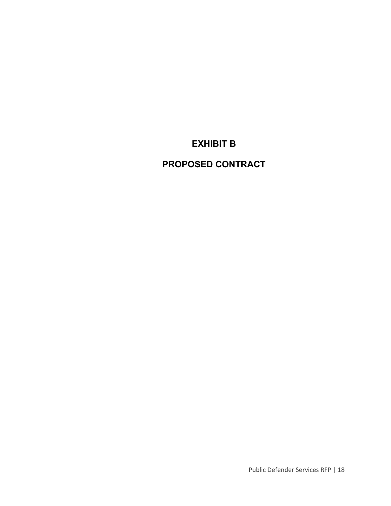**EXHIBIT B** 

**PROPOSED CONTRACT**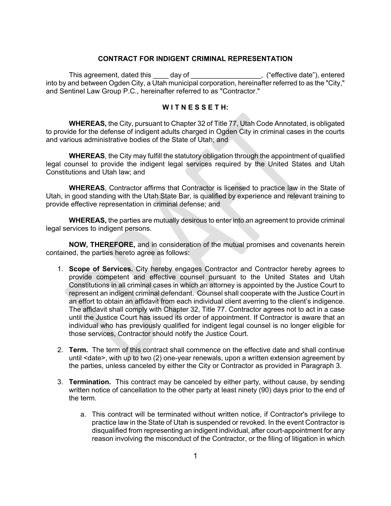#### **CONTRACT FOR INDIGENT CRIMINAL REPRESENTATION**

This agreement, dated this \_\_\_\_ day of \_\_\_\_\_\_\_\_\_\_\_\_\_\_\_, ("effective date"), entered into by and between Ogden City, a Utah municipal corporation, hereinafter referred to as the "City," and Sentinel Law Group P.C., hereinafter referred to as "Contractor."

#### **W I T N E S S E T H:**

**WHEREAS,** the City, pursuant to Chapter 32 of Title 77, Utah Code Annotated, is obligated to provide for the defense of indigent adults charged in Ogden City in criminal cases in the courts and various administrative bodies of the State of Utah; and

**WHEREAS**, the City may fulfill the statutory obligation through the appointment of qualified legal counsel to provide the indigent legal services required by the United States and Utah Constitutions and Utah law; and

**WHEREAS**, Contractor affirms that Contractor is licensed to practice law in the State of Utah, in good standing with the Utah State Bar, is qualified by experience and relevant training to provide effective representation in criminal defense; and

**WHEREAS,** the parties are mutually desirous to enter into an agreement to provide criminal legal services to indigent persons.

**NOW, THEREFORE,** and in consideration of the mutual promises and covenants herein contained, the parties hereto agree as follows:

- 1. **Scope of Services.** City hereby engages Contractor and Contractor hereby agrees to provide competent and effective counsel pursuant to the United States and Utah Constitutions in all criminal cases in which an attorney is appointed by the Justice Court to represent an indigent criminal defendant. Counsel shall cooperate with the Justice Court in an effort to obtain an affidavit from each individual client averring to the client's indigence. The affidavit shall comply with Chapter 32, Title 77. Contractor agrees not to act in a case until the Justice Court has issued its order of appointment. If Contractor is aware that an individual who has previously qualified for indigent legal counsel is no longer eligible for those services, Contractor should notify the Justice Court.
- 2. **Term.** The term of this contract shall commence on the effective date and shall continue until <date>, with up to two (2) one-year renewals, upon a written extension agreement by the parties, unless canceled by either the City or Contractor as provided in Paragraph 3.
- 3. **Termination.** This contract may be canceled by either party, without cause, by sending written notice of cancellation to the other party at least ninety (90) days prior to the end of the term.
	- a. This contract will be terminated without written notice, if Contractor's privilege to practice law in the State of Utah is suspended or revoked. In the event Contractor is disqualified from representing an indigent individual, after court-appointment for any reason involving the misconduct of the Contractor, or the filing of litigation in which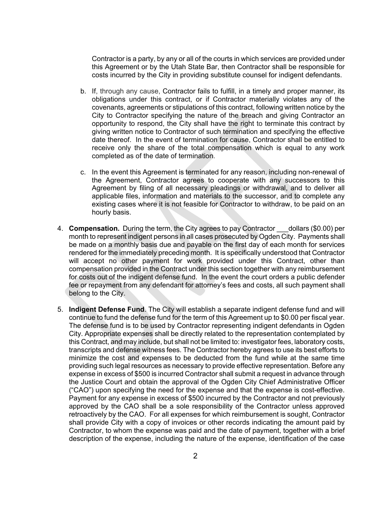Contractor is a party, by any or all of the courts in which services are provided under this Agreement or by the Utah State Bar, then Contractor shall be responsible for costs incurred by the City in providing substitute counsel for indigent defendants.

- b. If, through any cause, Contractor fails to fulfill, in a timely and proper manner, its obligations under this contract, or if Contractor materially violates any of the covenants, agreements or stipulations of this contract, following written notice by the City to Contractor specifying the nature of the breach and giving Contractor an opportunity to respond, the City shall have the right to terminate this contract by giving written notice to Contractor of such termination and specifying the effective date thereof. In the event of termination for cause, Contractor shall be entitled to receive only the share of the total compensation which is equal to any work completed as of the date of termination.
- c. In the event this Agreement is terminated for any reason, including non-renewal of the Agreement, Contractor agrees to cooperate with any successors to this Agreement by filing of all necessary pleadings or withdrawal, and to deliver all applicable files, information and materials to the successor, and to complete any existing cases where it is not feasible for Contractor to withdraw, to be paid on an hourly basis.
- 4. **Compensation.** During the term, the City agrees to pay Contractor dollars (\$0.00) per month to represent indigent persons in all cases prosecuted by Ogden City. Payments shall be made on a monthly basis due and payable on the first day of each month for services rendered for the immediately preceding month. It is specifically understood that Contractor will accept no other payment for work provided under this Contract, other than compensation provided in the Contract under this section together with any reimbursement for costs out of the indigent defense fund. In the event the court orders a public defender fee or repayment from any defendant for attorney's fees and costs, all such payment shall belong to the City.
- 5. **Indigent Defense Fund**. The City will establish a separate indigent defense fund and will continue to fund the defense fund for the term of this Agreement up to \$0.00 per fiscal year. The defense fund is to be used by Contractor representing indigent defendants in Ogden City. Appropriate expenses shall be directly related to the representation contemplated by this Contract, and may include, but shall not be limited to: investigator fees, laboratory costs, transcripts and defense witness fees. The Contractor hereby agrees to use its best efforts to minimize the cost and expenses to be deducted from the fund while at the same time providing such legal resources as necessary to provide effective representation. Before any expense in excess of \$500 is incurred Contractor shall submit a request in advance through the Justice Court and obtain the approval of the Ogden City Chief Administrative Officer ("CAO") upon specifying the need for the expense and that the expense is cost-effective. Payment for any expense in excess of \$500 incurred by the Contractor and not previously approved by the CAO shall be a sole responsibility of the Contractor unless approved retroactively by the CAO. For all expenses for which reimbursement is sought, Contractor shall provide City with a copy of invoices or other records indicating the amount paid by Contractor, to whom the expense was paid and the date of payment, together with a brief description of the expense, including the nature of the expense, identification of the case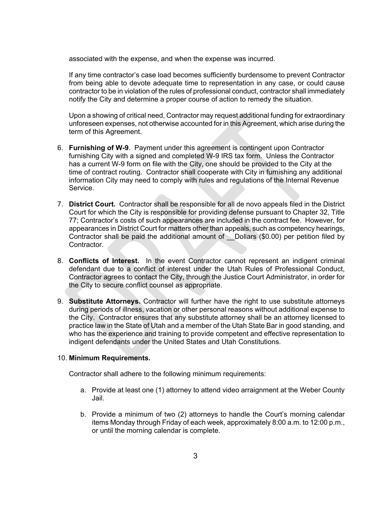associated with the expense, and when the expense was incurred.

If any time contractor's case load becomes sufficiently burdensome to prevent Contractor from being able to devote adequate time to representation in any case, or could cause contractor to be in violation of the rules of professional conduct, contractor shall immediately notify the City and determine a proper course of action to remedy the situation.

Upon a showing of critical need, Contractor may request additional funding for extraordinary unforeseen expenses, not otherwise accounted for in this Agreement, which arise during the term of this Agreement.

- 6. **Furnishing of W-9**. Payment under this agreement is contingent upon Contractor furnishing City with a signed and completed W-9 IRS tax form. Unless the Contractor has a current W-9 form on file with the City, one should be provided to the City at the time of contract routing. Contractor shall cooperate with City in furnishing any additional information City may need to comply with rules and regulations of the Internal Revenue Service.
- 7. **District Court.** Contractor shall be responsible for all de novo appeals filed in the District Court for which the City is responsible for providing defense pursuant to Chapter 32, Title 77; Contractor's costs of such appearances are included in the contract fee. However, for appearances in District Court for matters other than appeals, such as competency hearings, Contractor shall be paid the additional amount of Dollars (\$0.00) per petition filed by Contractor.
- 8. **Conflicts of Interest.** In the event Contractor cannot represent an indigent criminal defendant due to a conflict of interest under the Utah Rules of Professional Conduct, Contractor agrees to contact the City, through the Justice Court Administrator, in order for the City to secure conflict counsel as appropriate.
- 9. **Substitute Attorneys.** Contractor will further have the right to use substitute attorneys during periods of illness, vacation or other personal reasons without additional expense to the City. Contractor ensures that any substitute attorney shall be an attorney licensed to practice law in the State of Utah and a member of the Utah State Bar in good standing, and who has the experience and training to provide competent and effective representation to indigent defendants under the United States and Utah Constitutions.

#### 10. **Minimum Requirements.**

Contractor shall adhere to the following minimum requirements:

- a. Provide at least one (1) attorney to attend video arraignment at the Weber County Jail.
- b. Provide a minimum of two (2) attorneys to handle the Court's morning calendar items Monday through Friday of each week, approximately 8:00 a.m. to 12:00 p.m., or until the morning calendar is complete.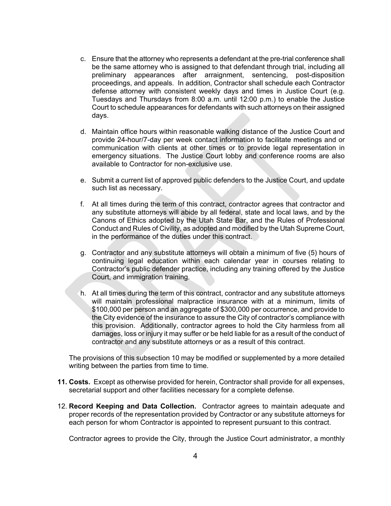- c. Ensure that the attorney who represents a defendant at the pre-trial conference shall be the same attorney who is assigned to that defendant through trial, including all preliminary appearances after arraignment, sentencing, post-disposition proceedings, and appeals. In addition, Contractor shall schedule each Contractor defense attorney with consistent weekly days and times in Justice Court (e.g. Tuesdays and Thursdays from 8:00 a.m. until 12:00 p.m.) to enable the Justice Court to schedule appearances for defendants with such attorneys on their assigned days.
- d. Maintain office hours within reasonable walking distance of the Justice Court and provide 24-hour/7-day per week contact information to facilitate meetings and or communication with clients at other times or to provide legal representation in emergency situations. The Justice Court lobby and conference rooms are also available to Contractor for non-exclusive use.
- e. Submit a current list of approved public defenders to the Justice Court, and update such list as necessary.
- f. At all times during the term of this contract, contractor agrees that contractor and any substitute attorneys will abide by all federal, state and local laws, and by the Canons of Ethics adopted by the Utah State Bar, and the Rules of Professional Conduct and Rules of Civility, as adopted and modified by the Utah Supreme Court, in the performance of the duties under this contract.
- g. Contractor and any substitute attorneys will obtain a minimum of five (5) hours of continuing legal education within each calendar year in courses relating to Contractor's public defender practice, including any training offered by the Justice Court, and immigration training.
- h. At all times during the term of this contract, contractor and any substitute attorneys will maintain professional malpractice insurance with at a minimum, limits of \$100,000 per person and an aggregate of \$300,000 per occurrence, and provide to the City evidence of the insurance to assure the City of contractor's compliance with this provision. Additionally, contractor agrees to hold the City harmless from all damages, loss or injury it may suffer or be held liable for as a result of the conduct of contractor and any substitute attorneys or as a result of this contract.

The provisions of this subsection 10 may be modified or supplemented by a more detailed writing between the parties from time to time.

- **11. Costs.** Except as otherwise provided for herein, Contractor shall provide for all expenses, secretarial support and other facilities necessary for a complete defense.
- 12. **Record Keeping and Data Collection.** Contractor agrees to maintain adequate and proper records of the representation provided by Contractor or any substitute attorneys for each person for whom Contractor is appointed to represent pursuant to this contract.

Contractor agrees to provide the City, through the Justice Court administrator, a monthly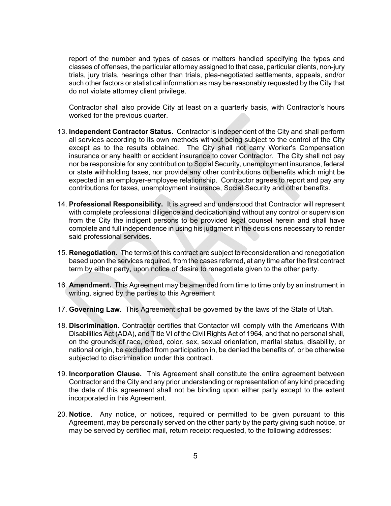report of the number and types of cases or matters handled specifying the types and classes of offenses, the particular attorney assigned to that case, particular clients, non-jury trials, jury trials, hearings other than trials, plea-negotiated settlements, appeals, and/or such other factors or statistical information as may be reasonably requested by the City that do not violate attorney client privilege.

Contractor shall also provide City at least on a quarterly basis, with Contractor's hours worked for the previous quarter.

- 13. **Independent Contractor Status.** Contractor is independent of the City and shall perform all services according to its own methods without being subject to the control of the City except as to the results obtained. The City shall not carry Worker's Compensation insurance or any health or accident insurance to cover Contractor. The City shall not pay nor be responsible for any contribution to Social Security, unemployment insurance, federal or state withholding taxes, nor provide any other contributions or benefits which might be expected in an employer-employee relationship. Contractor agrees to report and pay any contributions for taxes, unemployment insurance, Social Security and other benefits.
- 14. **Professional Responsibility.** It is agreed and understood that Contractor will represent with complete professional diligence and dedication and without any control or supervision from the City the indigent persons to be provided legal counsel herein and shall have complete and full independence in using his judgment in the decisions necessary to render said professional services.
- 15. **Renegotiation.** The terms of this contract are subject to reconsideration and renegotiation based upon the services required, from the cases referred, at any time after the first contract term by either party, upon notice of desire to renegotiate given to the other party.
- 16. **Amendment.** This Agreement may be amended from time to time only by an instrument in writing, signed by the parties to this Agreement
- 17. **Governing Law.** This Agreement shall be governed by the laws of the State of Utah.
- 18. **Discrimination**. Contractor certifies that Contactor will comply with the Americans With Disabilities Act (ADA), and Title VI of the Civil Rights Act of 1964, and that no personal shall, on the grounds of race, creed, color, sex, sexual orientation, marital status, disability, or national origin, be excluded from participation in, be denied the benefits of, or be otherwise subjected to discrimination under this contract.
- 19. **Incorporation Clause.** This Agreement shall constitute the entire agreement between Contractor and the City and any prior understanding or representation of any kind preceding the date of this agreement shall not be binding upon either party except to the extent incorporated in this Agreement.
- 20. **Notice**. Any notice, or notices, required or permitted to be given pursuant to this Agreement, may be personally served on the other party by the party giving such notice, or may be served by certified mail, return receipt requested, to the following addresses: